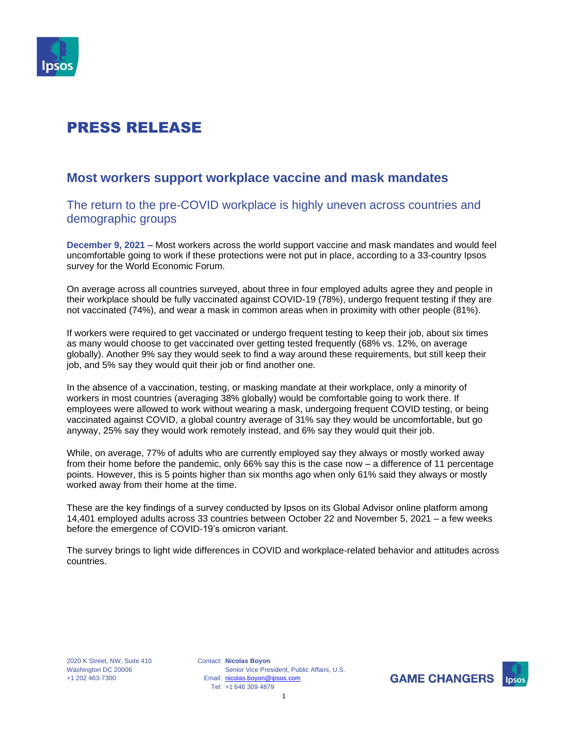

### **Most workers support workplace vaccine and mask mandates**

The return to the pre-COVID workplace is highly uneven across countries and demographic groups

**December 9, 2021 –** Most workers across the world support vaccine and mask mandates and would feel uncomfortable going to work if these protections were not put in place, according to a 33-country Ipsos survey for the World Economic Forum.

On average across all countries surveyed, about three in four employed adults agree they and people in their workplace should be fully vaccinated against COVID-19 (78%), undergo frequent testing if they are not vaccinated (74%), and wear a mask in common areas when in proximity with other people (81%).

If workers were required to get vaccinated or undergo frequent testing to keep their job, about six times as many would choose to get vaccinated over getting tested frequently (68% vs. 12%, on average globally). Another 9% say they would seek to find a way around these requirements, but still keep their job, and 5% say they would quit their job or find another one.

In the absence of a vaccination, testing, or masking mandate at their workplace, only a minority of workers in most countries (averaging 38% globally) would be comfortable going to work there. If employees were allowed to work without wearing a mask, undergoing frequent COVID testing, or being vaccinated against COVID, a global country average of 31% say they would be uncomfortable, but go anyway, 25% say they would work remotely instead, and 6% say they would quit their job.

While, on average, 77% of adults who are currently employed say they always or mostly worked away from their home before the pandemic, only 66% say this is the case now – a difference of 11 percentage points. However, this is 5 points higher than six months ago when only 61% said they always or mostly worked away from their home at the time.

These are the key findings of a survey conducted by Ipsos on its Global Advisor online platform among 14,401 employed adults across 33 countries between October 22 and November 5, 2021 – a few weeks before the emergence of COVID-19's omicron variant.

The survey brings to light wide differences in COVID and workplace-related behavior and attitudes across countries.

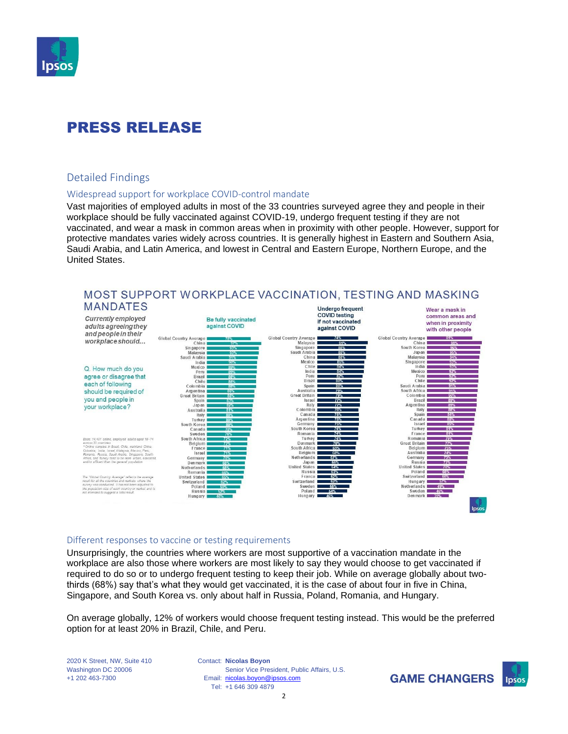

### Detailed Findings

#### Widespread support for workplace COVID-control mandate

Vast majorities of employed adults in most of the 33 countries surveyed agree they and people in their workplace should be fully vaccinated against COVID-19, undergo frequent testing if they are not vaccinated, and wear a mask in common areas when in proximity with other people. However, support for protective mandates varies widely across countries. It is generally highest in Eastern and Southern Asia, Saudi Arabia, and Latin America, and lowest in Central and Eastern Europe, Northern Europe, and the United States.



# MOST SUPPORT WORKPLACE VACCINATION, TESTING AND MASKING

#### Different responses to vaccine or testing requirements

Unsurprisingly, the countries where workers are most supportive of a vaccination mandate in the workplace are also those where workers are most likely to say they would choose to get vaccinated if required to do so or to undergo frequent testing to keep their job. While on average globally about twothirds (68%) say that's what they would get vaccinated, it is the case of about four in five in China, Singapore, and South Korea vs. only about half in Russia, Poland, Romania, and Hungary.

On average globally, 12% of workers would choose frequent testing instead. This would be the preferred option for at least 20% in Brazil, Chile, and Peru.

2020 K Street, NW, Suite 410 Washington DC 20006 +1 202 463-7300

Contact: **Nicolas Boyon** Email: [nicolas.boyon@ipsos.com](mailto:nicolas.boyon@ipsos.com) Tel: +1 646 309 4879 Senior Vice President, Public Affairs, U.S.

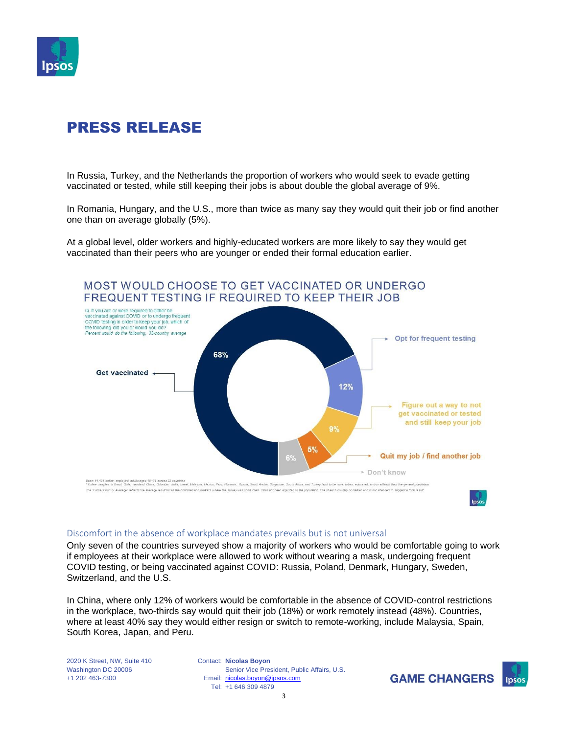

In Russia, Turkey, and the Netherlands the proportion of workers who would seek to evade getting vaccinated or tested, while still keeping their jobs is about double the global average of 9%.

In Romania, Hungary, and the U.S., more than twice as many say they would quit their job or find another one than on average globally (5%).

At a global level, older workers and highly-educated workers are more likely to say they would get vaccinated than their peers who are younger or ended their formal education earlier.



#### Discomfort in the absence of workplace mandates prevails but is not universal

Only seven of the countries surveyed show a majority of workers who would be comfortable going to work if employees at their workplace were allowed to work without wearing a mask, undergoing frequent COVID testing, or being vaccinated against COVID: Russia, Poland, Denmark, Hungary, Sweden, Switzerland, and the U.S.

In China, where only 12% of workers would be comfortable in the absence of COVID-control restrictions in the workplace, two-thirds say would quit their job (18%) or work remotely instead (48%). Countries, where at least 40% say they would either resign or switch to remote-working, include Malaysia, Spain, South Korea, Japan, and Peru.

2020 K Street, NW, Suite 410 Washington DC 20006 +1 202 463-7300

Contact: **Nicolas Boyon** Email: [nicolas.boyon@ipsos.com](mailto:nicolas.boyon@ipsos.com) Tel: +1 646 309 4879 Senior Vice President, Public Affairs, U.S.

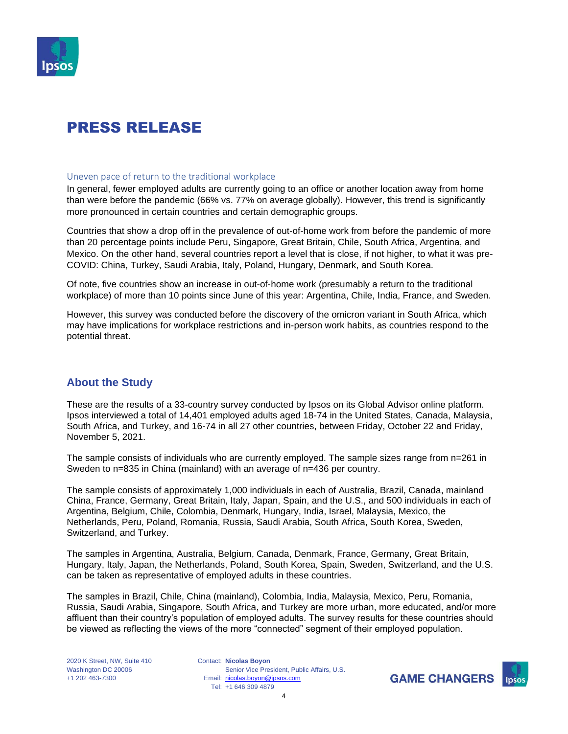

#### Uneven pace of return to the traditional workplace

In general, fewer employed adults are currently going to an office or another location away from home than were before the pandemic (66% vs. 77% on average globally). However, this trend is significantly more pronounced in certain countries and certain demographic groups.

Countries that show a drop off in the prevalence of out-of-home work from before the pandemic of more than 20 percentage points include Peru, Singapore, Great Britain, Chile, South Africa, Argentina, and Mexico. On the other hand, several countries report a level that is close, if not higher, to what it was pre-COVID: China, Turkey, Saudi Arabia, Italy, Poland, Hungary, Denmark, and South Korea.

Of note, five countries show an increase in out-of-home work (presumably a return to the traditional workplace) of more than 10 points since June of this year: Argentina, Chile, India, France, and Sweden.

However, this survey was conducted before the discovery of the omicron variant in South Africa, which may have implications for workplace restrictions and in-person work habits, as countries respond to the potential threat.

### **About the Study**

These are the results of a 33-country survey conducted by Ipsos on its Global Advisor online platform. Ipsos interviewed a total of 14,401 employed adults aged 18-74 in the United States, Canada, Malaysia, South Africa, and Turkey, and 16-74 in all 27 other countries, between Friday, October 22 and Friday, November 5, 2021.

The sample consists of individuals who are currently employed. The sample sizes range from n=261 in Sweden to n=835 in China (mainland) with an average of n=436 per country.

The sample consists of approximately 1,000 individuals in each of Australia, Brazil, Canada, mainland China, France, Germany, Great Britain, Italy, Japan, Spain, and the U.S., and 500 individuals in each of Argentina, Belgium, Chile, Colombia, Denmark, Hungary, India, Israel, Malaysia, Mexico, the Netherlands, Peru, Poland, Romania, Russia, Saudi Arabia, South Africa, South Korea, Sweden, Switzerland, and Turkey.

The samples in Argentina, Australia, Belgium, Canada, Denmark, France, Germany, Great Britain, Hungary, Italy, Japan, the Netherlands, Poland, South Korea, Spain, Sweden, Switzerland, and the U.S. can be taken as representative of employed adults in these countries.

The samples in Brazil, Chile, China (mainland), Colombia, India, Malaysia, Mexico, Peru, Romania, Russia, Saudi Arabia, Singapore, South Africa, and Turkey are more urban, more educated, and/or more affluent than their country's population of employed adults. The survey results for these countries should be viewed as reflecting the views of the more "connected" segment of their employed population.

Contact: **Nicolas Boyon** Email: [nicolas.boyon@ipsos.com](mailto:nicolas.boyon@ipsos.com) Tel: +1 646 309 4879 Senior Vice President, Public Affairs, U.S.